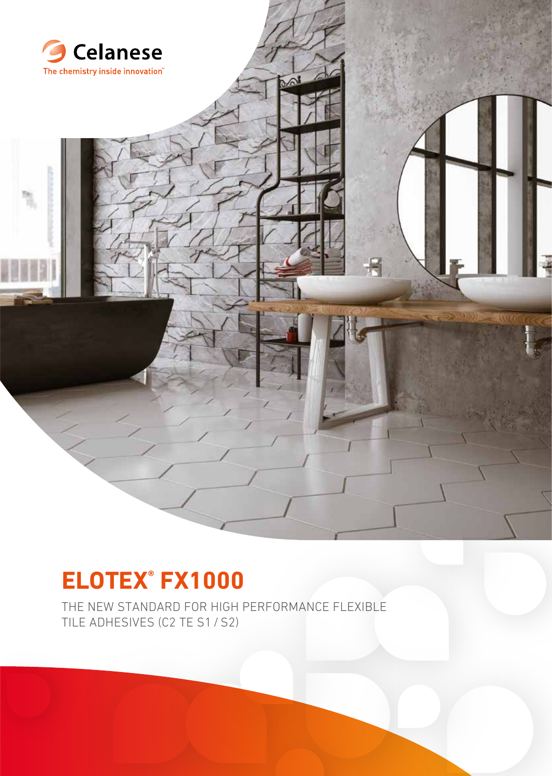

# **ELOTEX® FX1000**

THE NEW STANDARD FOR HIGH PERFORMANCE FLEXIBLE TILE ADHESIVES (C2 TE S1 / S2)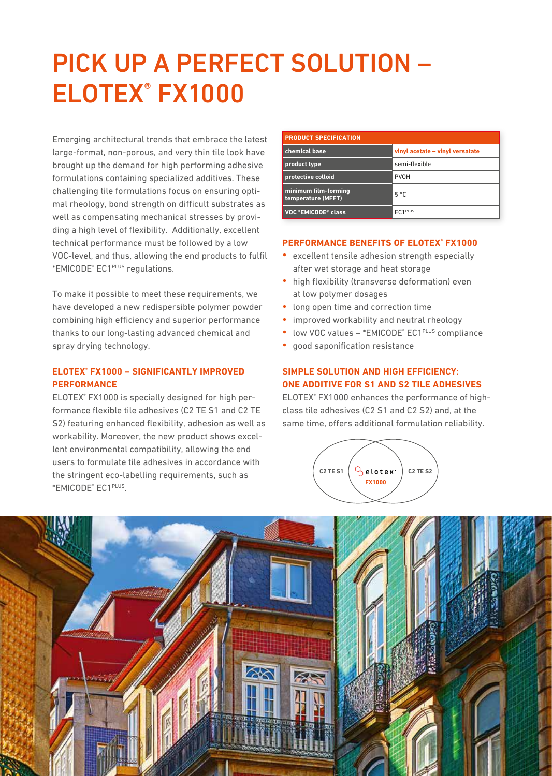# PICK UP A PERFECT SOLUTION – ELOTEX® FX1000

Emerging architectural trends that embrace the latest large-format, non-porous, and very thin tile look have brought up the demand for high performing adhesive formulations containing specialized additives. These challenging tile formulations focus on ensuring optimal rheology, bond strength on difficult substrates as well as compensating mechanical stresses by providing a high level of flexibility. Additionally, excellent technical performance must be followed by a low VOC-level, and thus, allowing the end products to fulfil \*EMICODE® EC1PLUS regulations.

To make it possible to meet these requirements, we have developed a new redispersible polymer powder combining high efficiency and superior performance thanks to our long-lasting advanced chemical and spray drying technology.

### **ELOTEX® FX1000 – SIGNIFICANTLY IMPROVED PERFORMANCE**

ELOTEX® FX1000 is specially designed for high performance flexible tile adhesives (C2 TE S1 and C2 TE S2) featuring enhanced flexibility, adhesion as well as workability. Moreover, the new product shows excellent environmental compatibility, allowing the end users to formulate tile adhesives in accordance with the stringent eco-labelling requirements, such as \*EMICODE® EC1PLUS.

| <b>PRODUCT SPECIFICATION</b>               |                                 |  |  |  |  |  |
|--------------------------------------------|---------------------------------|--|--|--|--|--|
| chemical base                              | vinyl acetate - vinyl versatate |  |  |  |  |  |
| product type                               | semi-flexible                   |  |  |  |  |  |
| protective colloid                         | <b>PVOH</b>                     |  |  |  |  |  |
| minimum film-forming<br>temperature (MFFT) | $5^{\circ}$ C                   |  |  |  |  |  |
| VOC *EMICODE® class                        | EC1PLUS                         |  |  |  |  |  |

#### **PERFORMANCE BENEFITS OF ELOTEX® FX1000**

- **•** excellent tensile adhesion strength especially after wet storage and heat storage
- **•** high flexibility (transverse deformation) even at low polymer dosages
- **•** long open time and correction time
- **•** improved workability and neutral rheology
- low VOC values \*EMICODE<sup>®</sup> EC1<sup>PLUS</sup> compliance
- **•** good saponification resistance

# **SIMPLE SOLUTION AND HIGH EFFICIENCY: ONE ADDITIVE FOR S1 AND S2 TILE ADHESIVES**

ELOTEX® FX1000 enhances the performance of highclass tile adhesives (C2 S1 and C2 S2) and, at the same time, offers additional formulation reliability.

![](_page_1_Picture_15.jpeg)

![](_page_1_Picture_16.jpeg)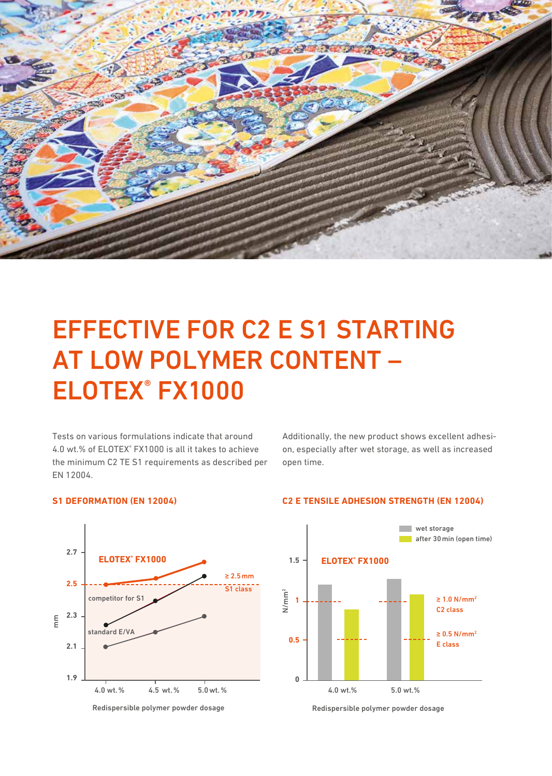![](_page_2_Picture_0.jpeg)

# EFFECTIVE FOR C2 E S1 STARTING AT LOW POLYMER CONTENT – ELOTEX® FX1000

Tests on various formulations indicate that around 4.0 wt.% of ELOTEX® FX1000 is all it takes to achieve the minimum C2 TE S1 requirements as described per EN 12004.

Additionally, the new product shows excellent adhesion, especially after wet storage, as well as increased open time.

#### **S1 DEFORMATION (EN 12004)**

![](_page_2_Figure_5.jpeg)

![](_page_2_Figure_6.jpeg)

![](_page_2_Figure_7.jpeg)

![](_page_2_Figure_8.jpeg)

Redispersible polymer powder dosage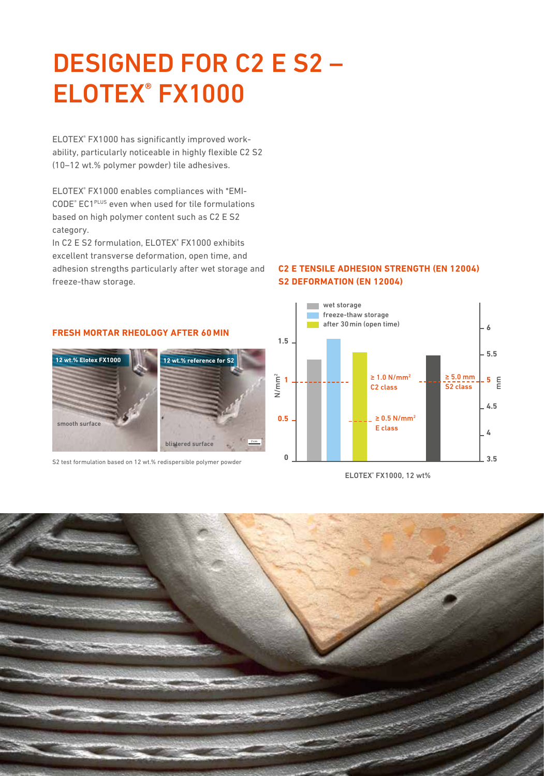# DESIGNED FOR C2 E S2 – ELOTEX® FX1000

ELOTEX® FX1000 has significantly improved workability, particularly noticeable in highly flexible C2 S2 (10–12 wt.% polymer powder) tile adhesives.

ELOTEX® FX1000 enables compliances with \*EMI-CODE® EC1PLUS even when used for tile formulations based on high polymer content such as C2 E S2 category.

In C2 E S2 formulation, ELOTEX® FX1000 exhibits excellent transverse deformation, open time, and adhesion strengths particularly after wet storage and freeze-thaw storage.

## **C2 E TENSILE ADHESION STRENGTH (EN 12004) S2 DEFORMATION (EN 12004)**

![](_page_3_Figure_5.jpeg)

ELOTEX® FX1000, 12 wt%

![](_page_3_Picture_7.jpeg)

## **FRESH MORTAR RHEOLOGY AFTER 60 MIN**

![](_page_3_Picture_9.jpeg)

S2 test formulation based on 12 wt.% redispersible polymer powder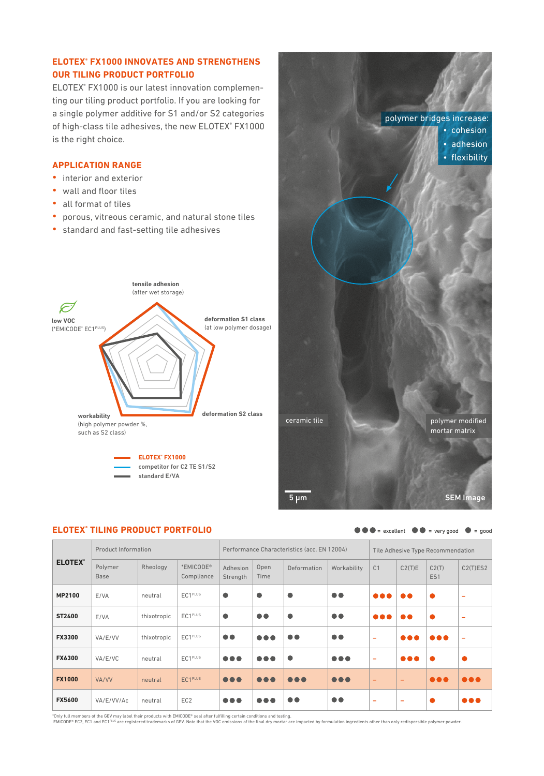### **ELOTEX® FX1000 INNOVATES AND STRENGTHENS OUR TILING PRODUCT PORTFOLIO**

ELOTEX® FX1000 is our latest innovation complementing our tiling product portfolio. If you are looking for a single polymer additive for S1 and/or S2 categories of high-class tile adhesives, the new ELOTEX® FX1000 is the right choice.

### **APPLICATION RANGE**

- **•** interior and exterior
- **•** wall and floor tiles
- **•** all format of tiles
- **•** porous, vitreous ceramic, and natural stone tiles
- **•** standard and fast-setting tile adhesives

![](_page_4_Figure_8.jpeg)

![](_page_4_Picture_9.jpeg)

![](_page_4_Picture_10.jpeg)

![](_page_4_Picture_11.jpeg)

 $\bullet \bullet =$  excellent  $\bullet \bullet =$  very good  $\bullet =$  good

| <b>ELOTEX°</b> | <b>Product Information</b>    |             | Performance Characteristics (acc. EN 12004) |                         |                         |                         | Tile Adhesive Type Recommendation |                          |                          |                         |                         |
|----------------|-------------------------------|-------------|---------------------------------------------|-------------------------|-------------------------|-------------------------|-----------------------------------|--------------------------|--------------------------|-------------------------|-------------------------|
|                | <b>Polymer</b><br><b>Base</b> | Rheology    | *EMICODE®<br>Compliance                     | Adhesion<br>Strength    | Open<br>Time            | Deformation             | Workability                       | C <sub>1</sub>           | C2(T)E                   | C2(T)<br>ES1            | C2(T)ES2                |
| <b>MP2100</b>  | E/VA                          | neutral     | EC1PLUS                                     | $\bullet$               |                         | $\bullet$               | $\bullet\bullet$                  | $\bullet\bullet\bullet$  | $\bullet\bullet$         |                         | ۰                       |
| ST2400         | E/VA                          | thixotropic | $EC1$ <sup>PLUS</sup>                       | $\bullet$               | $\bullet\bullet$        | $\bullet$               | $\bullet\bullet$                  | $\bullet\bullet\bullet$  | $\bullet\bullet$         |                         | ۰                       |
| <b>FX3300</b>  | VA/E/VV                       | thixotropic | EC1PLUS                                     | $\bullet\bullet$        | $\bullet\bullet\bullet$ | $\bullet\bullet$        | $\bullet\bullet$                  | $\overline{\phantom{0}}$ | $\bullet\bullet\bullet$  | $\bullet\bullet\bullet$ | ۰                       |
| <b>FX6300</b>  | VA/E/VC                       | neutral     | EC1PLUS                                     | $\bullet\bullet\bullet$ | $\bullet\bullet\bullet$ | $\bullet$               | $\bullet\bullet\bullet$           | $\overline{\phantom{0}}$ | $\bullet\bullet\bullet$  | $\bullet$               |                         |
| <b>FX1000</b>  | VA/VV                         | neutral     | EC1PLUS                                     | $\bullet\bullet\bullet$ | $\bullet\bullet\bullet$ | $\bullet\bullet\bullet$ | $\bullet\bullet\bullet$           | -                        | $\overline{\phantom{0}}$ | $\bullet\bullet\bullet$ | $\bullet\bullet\bullet$ |
| <b>FX5600</b>  | VA/E/VV/Ac                    | neutral     | EC <sub>2</sub>                             | $\bullet\bullet\bullet$ |                         | $\bullet\bullet$        | $\bullet\bullet$                  | $\overline{\phantom{0}}$ | $\overline{\phantom{0}}$ |                         | $\bullet\bullet\bullet$ |

\*Only full members of the GEV may label their products with EMICODE® seal after fulfilling certain conditions and testing.<br>EMICODE® EC2, EC1 and EC1<sup>PLUS</sup> are registered trademarks of GEV. Note that the VOC emissions of th